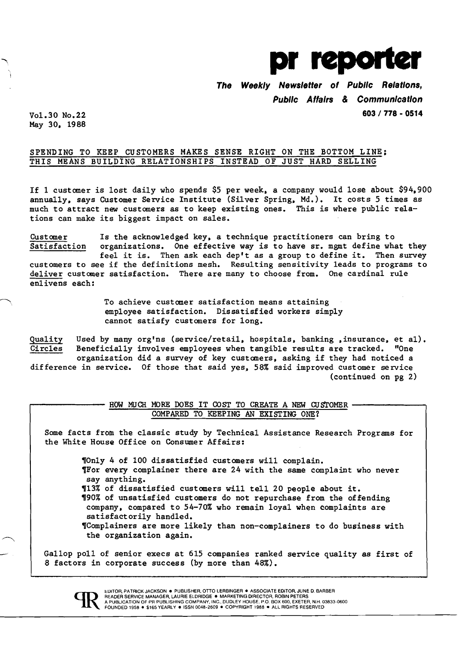

**The Weekly Newsletter of Public Relations, Public Affairs & Communication** 

Vo1.30 No.22 **603/ 778 . 0514**  May 30. 1988

## SPENDING TO KEEP CUSTOMERS MAKES SENSE RIGHT ON THE BOTTOM LINE: THIS MEANS BUILDING RELATIONSHIPS INSTEAD OF JUST HARD SELLING

If 1 customer is lost daily who spends \$5 per week. a company would lose about \$94.900 annually. says Customer Service Institute (Silver Spring. Md.). It costs 5 times as much to attract new customers as to keep existing ones. This is where public relations can make its biggest impact on sales.

Customer Is the acknowledged key. a technique practitioners can bring to  $S$ atisfaction organizations. One effective way is to have sr. mgmt define what they<br>feel it is. Then ask each dep't as a group to define it. Then survey feel it is. Then ask each dep't as a group to define it. customers to see if the definitions mesh. Resulting sensitivity leads to programs to deliver customer satisfaction. There are many to choose from. One cardinal rule enlivens each:

> To achieve customer satisfaction means attaining employee satisfaction. Dissatisfied workers simply cannot satisfy customers for long.

Quality Used by many org'ns (service/retail, hospitals, banking ,insurance, et al).<br>Circles Beneficially involves emplovees when tangible results are tracked. "One Beneficially involves employees when tangible results are tracked. organization did a survey of key customers. asking if they had noticed a difference in service. Of those that said yes. 58% said improved customer service (continued on pg 2)

> HOW MUCH MORE DOES IT COST TO CREATE A NEW CUSTOMER -COMPARED TO KEEPING AN EXISTING ONE?

Some facts from the classic study by Technical Assistance Research Programs for the White House Office on Consumer Affairs:

> 'On1y 4 of 100 dissatisfied customers will complain. TFor every complainer there are 24 with the same complaint who never say anything. '13% of dissatisfied customers will tell 20 people about it. '90% of unsatisfied customers do not repurchase from the offending company. compared to 54-70% who remain loyal when complaints are satisfactorily handled. 'Comp1ainers are more likely than non-complainers to do business with the organization again.

Gallop poll of senior execs at 615 companies ranked service quality as first of 8 factors in corporate success (by more than 48%).



ŁDITOR, PATRICK JACKSON ● PUBLISHER, OTTO LERBINGER ● ASSOCIATE EDITOR, JUNE D. BARBER<br>READER SERVICE MANAGER, LAURIE ELDRIDGE ● MARKETING DIRECTOR, ROBIN PETERS<br>A PUBLICATION OF PR PUBLISHING COMPANY, INC., DUDLEY HOUSE,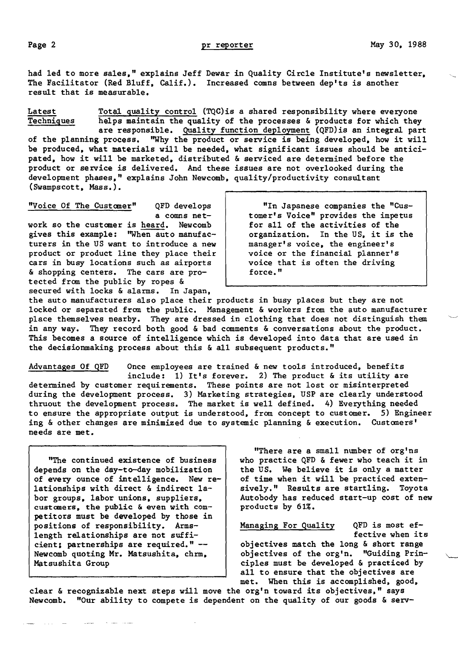had led to more sales." explains Jeff Dewar in Quality Circle Institute's newsletter. The Facilitator (Red Bluff, Calif.). Increased comns between dep'ts is another result that is measurable.

Latest Total quality control (TQC) is a shared responsibility where everyone<br>Techniques helps maintain the quality of the processes & products for which they helps maintain the quality of the processes & products for which they are responsible. Quality function deployment (QFD)is an integral part of the planning process. "Why the product or service is being developed, how it will be produced. what materials will be needed. what significant issues should be antici-

pated. how it will be marketed. distributed & serviced are determined before the product or service is delivered. And these issues are not overlooked during the development phases." explains John Newcomb. quality/productivity consultant (Swampscott. Mass.).

"Voice Of The Customer" QFD develops

a comns network so the customer is heard. Newcomb gives this example: "When auto manufacturers in the US want to introduce a new product or product line they place their cars in busy locations such as airports & shopping centers. The cars are protected from the public by ropes & secured with locks & alarms. In Japan,

"In Japanese companies the "Customer's Voice" provides the impetus for all of the activities of the organization. In the US. it is the manager's voice. the engineer's voice or the financial planner's voice that is often the driving force."

the auto manufacturers also place their products in busy places but they are not locked or separated from the public. Management & workers from the auto manufacturer place themselves nearby. They are dressed in clothing that does not distinguish them in any way. They record both good  $\&$  bad comments  $\&$  conversations about the product. This becomes a source of intelligence which is developed into data that are used in the decisionmaking process about this & all subsequent products."

Advantages Of QFD Once employees are trained & new tools introduced, benefits include: 1) It's forever. 2) The product & its utility are determined by customer requirements. These points are not lost or misinterpreted during the development process. 3) Marketing strategies. USP are clearly understood thruout the development process. The market is well defined. 4) Everything needed to ensure the appropriate output is understood. from concept to customer. 5) Engineer ing & other changes are minimized due to systemic planning & execution. Customers' needs are met.

depends on the day-to-day mobilization the US. We believe it is only a matter of every ounce of intelligence. New re- of time when it will be practiced extenof every ounce of intelligence. New re-<br>lationships with direct & indirect labor groups, labor unions, suppliers. customers, the public & even with  $com-$  | products by 61%. petitors must be developed by those in positions of responsibility. Arms-<br>length relationships are not suffi-<br>fective when its length relationships are not suffi-<br>cient; partnerships are required." -cient; partnerships are required."  $-\$  objectives match the long & short range<br>Newcomb quoting Mr. Matsushita, chrm, objectives of the org'n. "Guiding Prin-Matsushita Group **Accord Community** Ciples must be developed & practiced by

"There are a small number of org'ns "The continued existence of business  $\vert$  who practice QFD & fewer who teach it in sively." Results are startling. Toyota<br>Autobody has reduced start-up cost of new

> objectives of the org'n. "Guiding Prinall to ensure that the objectives are met. When this is accomplished, good,

clear & recognizable next steps will move the org'n toward its objectives." says Newcomb. "Our ability to compete is dependent on the quality of our goods & serv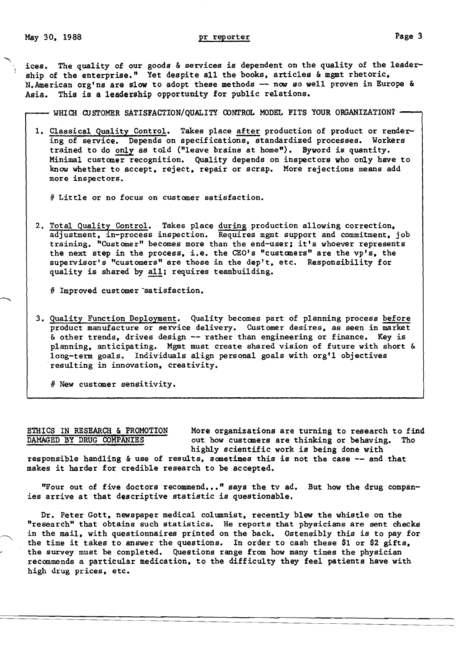May 30, 1988 **pr** reporter **Page 3** 

ices. The quality of our goods & services is dependent on the quality of the leader ship of the enterprise." Yet despite all the books, articles & mgmt rhetoric, N. American org'ns are slow to adopt these methods -- now so well proven in Europe & Asia. This is a leadership opportunity for public relations.

 $-$  WHICH CUSTOMER SATISFACTION/OUALITY CONTROL MODEL FITS YOUR ORGANIZATION?  $-$ 

1. Classical Quality Control. Takes place after production of product or rendering of service. Depends on specifications, standardized processes. Workers trained to do only as told ("leave brains at home"). Byword is quantity. Minimal customer recognition. Quality depends on inspectors who only have to know whether to accept. reject. repair or scrap. More rejections means add more inspectors.

# Little or no focus on customer satisfaction.

2. Total Quality Control. Takes place during production allowing correction, adjustment. in-process inspection. Requires mgmt support and commitment. job training. "Customer" becomes more than the end-user; it's whoever represents the next step in the process, i.e. the CEO's "customers" are the vp's, the supervisor's "customers" are those in the dep't. etc. Responsibility for quality is shared by all; requires teambuilding.

# Improved customer satisfaction.

3. Quality Function Deployment. Quality becomes part of planning process before product manufacture or service delivery. Customer desires. as seen in market & other trends. drives design -- rather than engineering or finance. Key is planning. anticipating. Mgmt must create shared vision of future with short & long-term goals. Individuals align personal goals with org'l objectives resulting in innovation. creativity.

# New customer sensitivity.

ETHICS IN RESEARCH & PROMOTION More organizations are turning to research to find<br>DAMAGED BY DRUG COMPANIES out how customers are thinking or behaving. Tho out how customers are thinking or behaving. Tho highly scientific work is being done with

responsible handling & use of results, sometimes this is not the case -- and that makes it harder for credible research to be accepted.

"Four out of five doctors recommend..." says the tv ad. But how the drug companies arrive at that descriptive statistic is questionable.

Dr. Peter Gott, newspaper medical columnist, recently blew the whistle on the "research" that obtains such statistics. He reports that physicians are sent checks in the mail. with questionnaires printed on the back. Ostensibly this is to pay for the time it takes to answer the questions. In order to cash these \$1 or \$2 gifts. the survey must be completed. Questions range from how many times the physician recommends a particular medication. to the difficulty they feel patients have with high drug prices. etc.